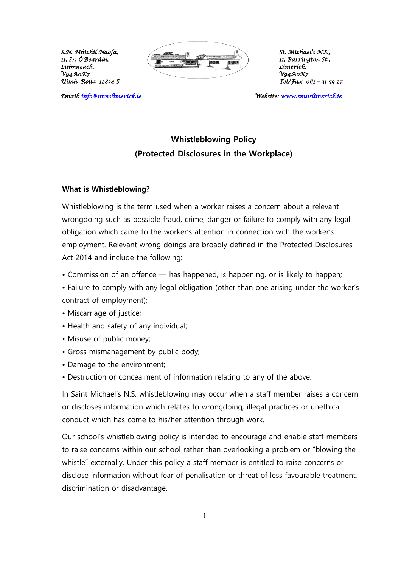Luímneach.<br>V94A0K7

*Email: info@smnslimerick.ie* 



*11, Barríngton St.,*<br>*Límeríck. Uimh. Rolla 12834 S Tel/Fax 061 – 31 59 27* 

*Email: [info@smnslimerick.ie](mailto:info@smnslimerick.ie) Website: [www.smnslimerick.ie](http://www.smnslimerick.ie/)* 

# **Whistleblowing Policy (Protected Disclosures in the Workplace)**

## **What is Whistleblowing?**

Whistleblowing is the term used when a worker raises a concern about a relevant wrongdoing such as possible fraud, crime, danger or failure to comply with any legal obligation which came to the worker's attention in connection with the worker's employment. Relevant wrong doings are broadly defined in the Protected Disclosures Act 2014 and include the following:

- Commission of an offence has happened, is happening, or is likely to happen;
- Failure to comply with any legal obligation (other than one arising under the worker's contract of employment);
- Miscarriage of justice;
- Health and safety of any individual;
- Misuse of public money;
- Gross mismanagement by public body;
- Damage to the environment;
- Destruction or concealment of information relating to any of the above.

In Saint Michael's N.S. whistleblowing may occur when a staff member raises a concern or discloses information which relates to wrongdoing, illegal practices or unethical conduct which has come to his/her attention through work.

Our school's whistleblowing policy is intended to encourage and enable staff members to raise concerns within our school rather than overlooking a problem or "blowing the whistle" externally. Under this policy a staff member is entitled to raise concerns or disclose information without fear of penalisation or threat of less favourable treatment, discrimination or disadvantage.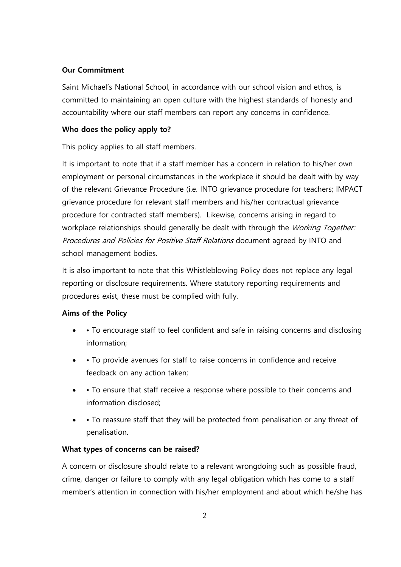## **Our Commitment**

Saint Michael's National School, in accordance with our school vision and ethos, is committed to maintaining an open culture with the highest standards of honesty and accountability where our staff members can report any concerns in confidence.

## **Who does the policy apply to?**

This policy applies to all staff members.

It is important to note that if a staff member has a concern in relation to his/her own employment or personal circumstances in the workplace it should be dealt with by way of the relevant Grievance Procedure (i.e. INTO grievance procedure for teachers; IMPACT grievance procedure for relevant staff members and his/her contractual grievance procedure for contracted staff members). Likewise, concerns arising in regard to workplace relationships should generally be dealt with through the Working Together: Procedures and Policies for Positive Staff Relations document agreed by INTO and school management bodies.

It is also important to note that this Whistleblowing Policy does not replace any legal reporting or disclosure requirements. Where statutory reporting requirements and procedures exist, these must be complied with fully.

## **Aims of the Policy**

- To encourage staff to feel confident and safe in raising concerns and disclosing information;
- • To provide avenues for staff to raise concerns in confidence and receive feedback on any action taken;
- • To ensure that staff receive a response where possible to their concerns and information disclosed;
- • To reassure staff that they will be protected from penalisation or any threat of penalisation.

## **What types of concerns can be raised?**

A concern or disclosure should relate to a relevant wrongdoing such as possible fraud, crime, danger or failure to comply with any legal obligation which has come to a staff member's attention in connection with his/her employment and about which he/she has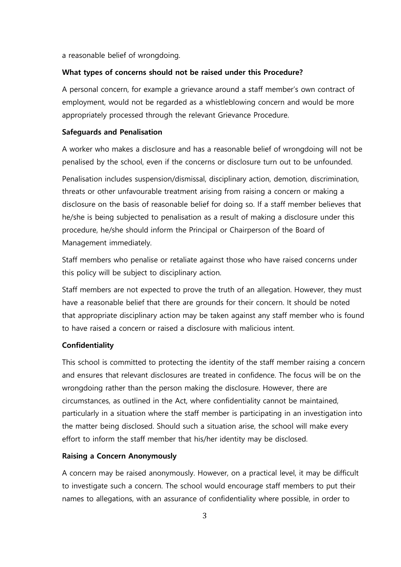a reasonable belief of wrongdoing.

### **What types of concerns should not be raised under this Procedure?**

A personal concern, for example a grievance around a staff member's own contract of employment, would not be regarded as a whistleblowing concern and would be more appropriately processed through the relevant Grievance Procedure.

### **Safeguards and Penalisation**

A worker who makes a disclosure and has a reasonable belief of wrongdoing will not be penalised by the school, even if the concerns or disclosure turn out to be unfounded.

Penalisation includes suspension/dismissal, disciplinary action, demotion, discrimination, threats or other unfavourable treatment arising from raising a concern or making a disclosure on the basis of reasonable belief for doing so. If a staff member believes that he/she is being subjected to penalisation as a result of making a disclosure under this procedure, he/she should inform the Principal or Chairperson of the Board of Management immediately.

Staff members who penalise or retaliate against those who have raised concerns under this policy will be subject to disciplinary action.

Staff members are not expected to prove the truth of an allegation. However, they must have a reasonable belief that there are grounds for their concern. It should be noted that appropriate disciplinary action may be taken against any staff member who is found to have raised a concern or raised a disclosure with malicious intent.

### **Confidentiality**

This school is committed to protecting the identity of the staff member raising a concern and ensures that relevant disclosures are treated in confidence. The focus will be on the wrongdoing rather than the person making the disclosure. However, there are circumstances, as outlined in the Act, where confidentiality cannot be maintained, particularly in a situation where the staff member is participating in an investigation into the matter being disclosed. Should such a situation arise, the school will make every effort to inform the staff member that his/her identity may be disclosed.

### **Raising a Concern Anonymously**

A concern may be raised anonymously. However, on a practical level, it may be difficult to investigate such a concern. The school would encourage staff members to put their names to allegations, with an assurance of confidentiality where possible, in order to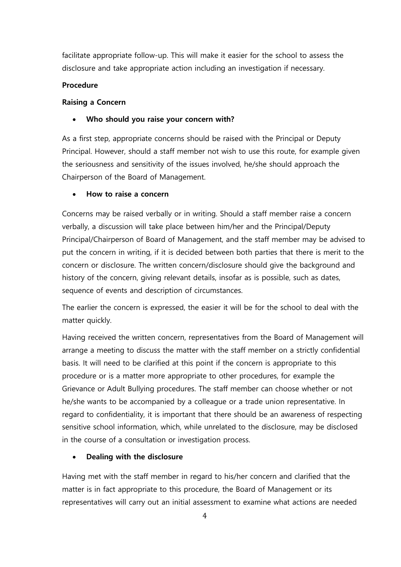facilitate appropriate follow-up. This will make it easier for the school to assess the disclosure and take appropriate action including an investigation if necessary.

## **Procedure**

## **Raising a Concern**

#### $\blacksquare$ Ξ **Who should you raise your concern with?**

As a first step, appropriate concerns should be raised with the Principal or Deputy Principal. However, should a staff member not wish to use this route, for example given the seriousness and sensitivity of the issues involved, he/she should approach the Chairperson of the Board of Management.

#### $\ddot{\phantom{a}}$ Ī **How to raise a concern**

Concerns may be raised verbally or in writing. Should a staff member raise a concern verbally, a discussion will take place between him/her and the Principal/Deputy Principal/Chairperson of Board of Management, and the staff member may be advised to put the concern in writing, if it is decided between both parties that there is merit to the concern or disclosure. The written concern/disclosure should give the background and history of the concern, giving relevant details, insofar as is possible, such as dates, sequence of events and description of circumstances.

The earlier the concern is expressed, the easier it will be for the school to deal with the matter quickly.

Having received the written concern, representatives from the Board of Management will arrange a meeting to discuss the matter with the staff member on a strictly confidential basis. It will need to be clarified at this point if the concern is appropriate to this procedure or is a matter more appropriate to other procedures, for example the Grievance or Adult Bullying procedures. The staff member can choose whether or not he/she wants to be accompanied by a colleague or a trade union representative. In regard to confidentiality, it is important that there should be an awareness of respecting sensitive school information, which, while unrelated to the disclosure, may be disclosed in the course of a consultation or investigation process.

#### $\ddot{\phantom{a}}$ Ī **Dealing with the disclosure**

Having met with the staff member in regard to his/her concern and clarified that the matter is in fact appropriate to this procedure, the Board of Management or its representatives will carry out an initial assessment to examine what actions are needed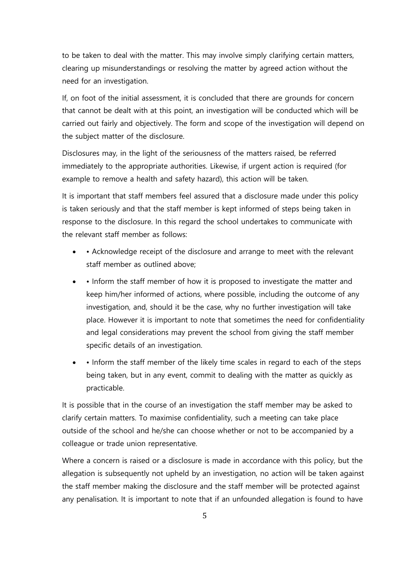to be taken to deal with the matter. This may involve simply clarifying certain matters, clearing up misunderstandings or resolving the matter by agreed action without the need for an investigation.

If, on foot of the initial assessment, it is concluded that there are grounds for concern that cannot be dealt with at this point, an investigation will be conducted which will be carried out fairly and objectively. The form and scope of the investigation will depend on the subject matter of the disclosure.

Disclosures may, in the light of the seriousness of the matters raised, be referred immediately to the appropriate authorities. Likewise, if urgent action is required (for example to remove a health and safety hazard), this action will be taken.

It is important that staff members feel assured that a disclosure made under this policy is taken seriously and that the staff member is kept informed of steps being taken in response to the disclosure. In this regard the school undertakes to communicate with the relevant staff member as follows:

- • Acknowledge receipt of the disclosure and arrange to meet with the relevant staff member as outlined above;
- Inform the staff member of how it is proposed to investigate the matter and keep him/her informed of actions, where possible, including the outcome of any investigation, and, should it be the case, why no further investigation will take place. However it is important to note that sometimes the need for confidentiality and legal considerations may prevent the school from giving the staff member specific details of an investigation.
- $\overline{\phantom{a}}$  • Inform the staff member of the likely time scales in regard to each of the steps being taken, but in any event, commit to dealing with the matter as quickly as practicable.

It is possible that in the course of an investigation the staff member may be asked to clarify certain matters. To maximise confidentiality, such a meeting can take place outside of the school and he/she can choose whether or not to be accompanied by a colleague or trade union representative.

Where a concern is raised or a disclosure is made in accordance with this policy, but the allegation is subsequently not upheld by an investigation, no action will be taken against the staff member making the disclosure and the staff member will be protected against any penalisation. It is important to note that if an unfounded allegation is found to have